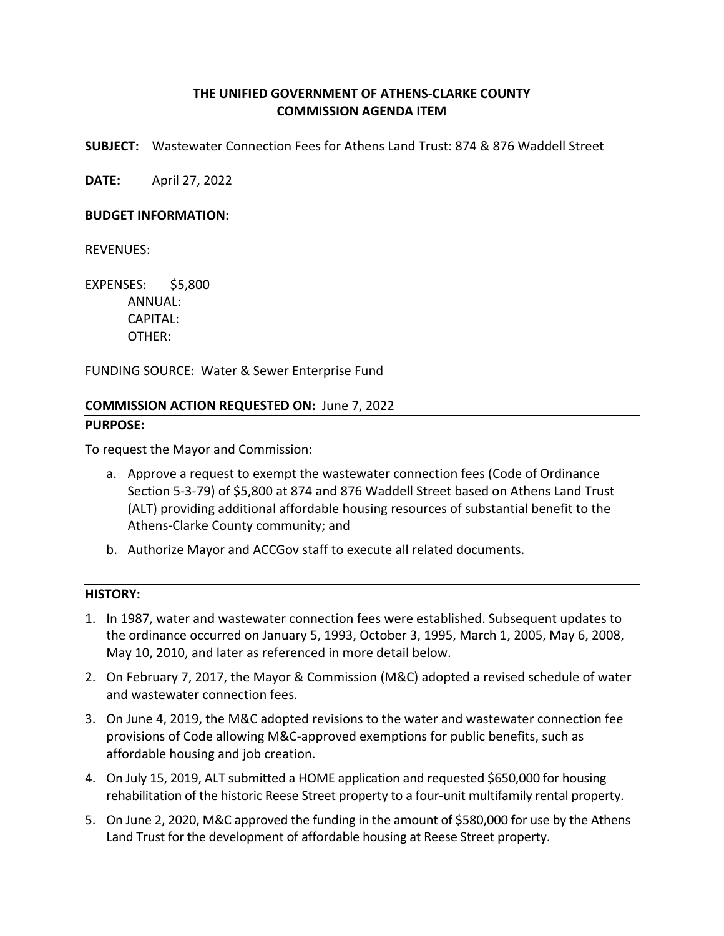# **THE UNIFIED GOVERNMENT OF ATHENS‐CLARKE COUNTY COMMISSION AGENDA ITEM**

**SUBJECT:**  Wastewater Connection Fees for Athens Land Trust: 874 & 876 Waddell Street

**DATE:**  April 27, 2022

### **BUDGET INFORMATION:**

REVENUES:

EXPENSES: \$5,800 ANNUAL: CAPITAL: OTHER:

FUNDING SOURCE: Water & Sewer Enterprise Fund

# **COMMISSION ACTION REQUESTED ON:** June 7, 2022

### **PURPOSE:**

To request the Mayor and Commission:

- a. Approve a request to exempt the wastewater connection fees (Code of Ordinance Section 5‐3‐79) of \$5,800 at 874 and 876 Waddell Street based on Athens Land Trust (ALT) providing additional affordable housing resources of substantial benefit to the Athens‐Clarke County community; and
- b. Authorize Mayor and ACCGov staff to execute all related documents.

### **HISTORY:**

- 1. In 1987, water and wastewater connection fees were established. Subsequent updates to the ordinance occurred on January 5, 1993, October 3, 1995, March 1, 2005, May 6, 2008, May 10, 2010, and later as referenced in more detail below.
- 2. On February 7, 2017, the Mayor & Commission (M&C) adopted a revised schedule of water and wastewater connection fees.
- 3. On June 4, 2019, the M&C adopted revisions to the water and wastewater connection fee provisions of Code allowing M&C‐approved exemptions for public benefits, such as affordable housing and job creation.
- 4. On July 15, 2019, ALT submitted a HOME application and requested \$650,000 for housing rehabilitation of the historic Reese Street property to a four‐unit multifamily rental property.
- 5. On June 2, 2020, M&C approved the funding in the amount of \$580,000 for use by the Athens Land Trust for the development of affordable housing at Reese Street property.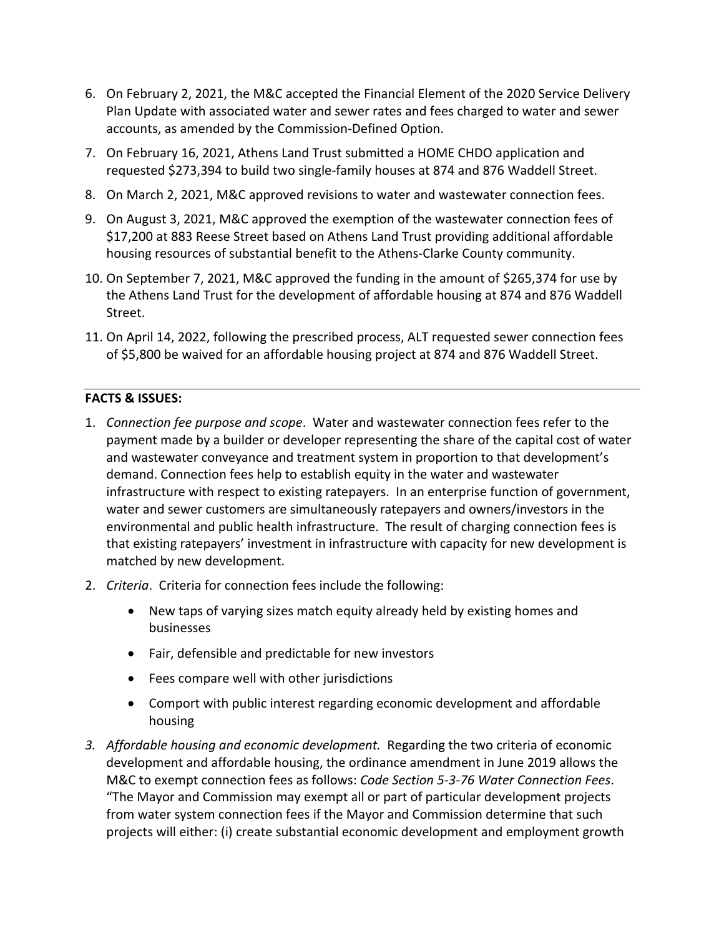- 6. On February 2, 2021, the M&C accepted the Financial Element of the 2020 Service Delivery Plan Update with associated water and sewer rates and fees charged to water and sewer accounts, as amended by the Commission‐Defined Option.
- 7. On February 16, 2021, Athens Land Trust submitted a HOME CHDO application and requested \$273,394 to build two single‐family houses at 874 and 876 Waddell Street.
- 8. On March 2, 2021, M&C approved revisions to water and wastewater connection fees.
- 9. On August 3, 2021, M&C approved the exemption of the wastewater connection fees of \$17,200 at 883 Reese Street based on Athens Land Trust providing additional affordable housing resources of substantial benefit to the Athens‐Clarke County community.
- 10. On September 7, 2021, M&C approved the funding in the amount of \$265,374 for use by the Athens Land Trust for the development of affordable housing at 874 and 876 Waddell Street.
- 11. On April 14, 2022, following the prescribed process, ALT requested sewer connection fees of \$5,800 be waived for an affordable housing project at 874 and 876 Waddell Street.

# **FACTS & ISSUES:**

- 1. *Connection fee purpose and scope*. Water and wastewater connection fees refer to the payment made by a builder or developer representing the share of the capital cost of water and wastewater conveyance and treatment system in proportion to that development's demand. Connection fees help to establish equity in the water and wastewater infrastructure with respect to existing ratepayers. In an enterprise function of government, water and sewer customers are simultaneously ratepayers and owners/investors in the environmental and public health infrastructure. The result of charging connection fees is that existing ratepayers' investment in infrastructure with capacity for new development is matched by new development.
- 2. *Criteria*. Criteria for connection fees include the following:
	- New taps of varying sizes match equity already held by existing homes and businesses
	- Fair, defensible and predictable for new investors
	- Fees compare well with other jurisdictions
	- Comport with public interest regarding economic development and affordable housing
- *3. Affordable housing and economic development.* Regarding the two criteria of economic development and affordable housing, the ordinance amendment in June 2019 allows the M&C to exempt connection fees as follows: *Code Section 5‐3‐76 Water Connection Fees*. "The Mayor and Commission may exempt all or part of particular development projects from water system connection fees if the Mayor and Commission determine that such projects will either: (i) create substantial economic development and employment growth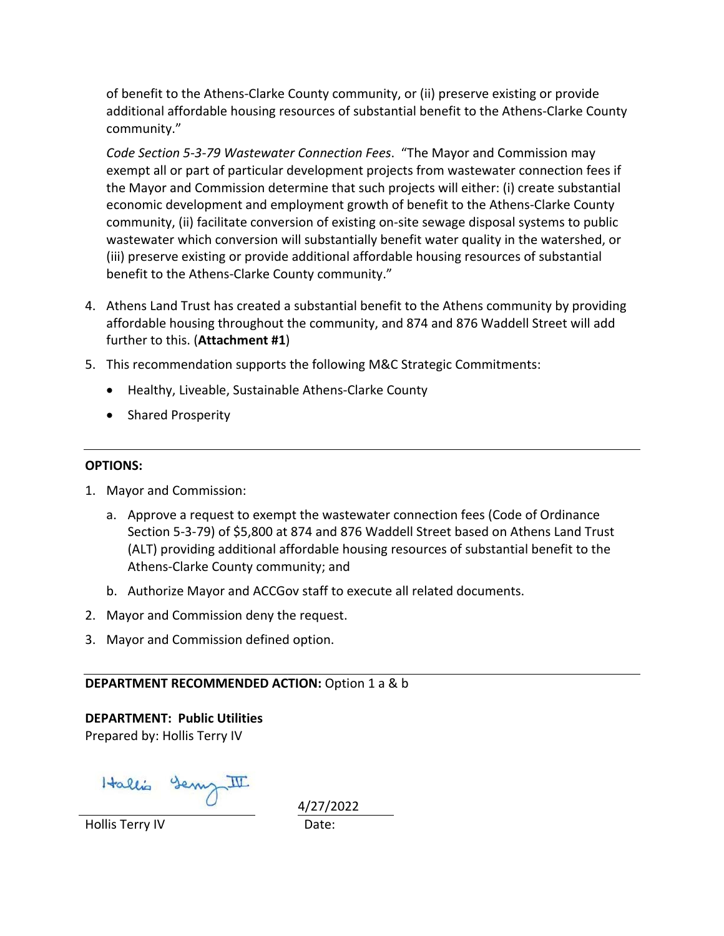of benefit to the Athens‐Clarke County community, or (ii) preserve existing or provide additional affordable housing resources of substantial benefit to the Athens‐Clarke County community."

*Code Section 5‐3‐79 Wastewater Connection Fees*. "The Mayor and Commission may exempt all or part of particular development projects from wastewater connection fees if the Mayor and Commission determine that such projects will either: (i) create substantial economic development and employment growth of benefit to the Athens‐Clarke County community, (ii) facilitate conversion of existing on‐site sewage disposal systems to public wastewater which conversion will substantially benefit water quality in the watershed, or (iii) preserve existing or provide additional affordable housing resources of substantial benefit to the Athens‐Clarke County community."

- 4. Athens Land Trust has created a substantial benefit to the Athens community by providing affordable housing throughout the community, and 874 and 876 Waddell Street will add further to this. (**Attachment #1**)
- 5. This recommendation supports the following M&C Strategic Commitments:
	- Healthy, Liveable, Sustainable Athens-Clarke County
	- Shared Prosperity

### **OPTIONS:**

- 1. Mayor and Commission:
	- a. Approve a request to exempt the wastewater connection fees (Code of Ordinance Section 5‐3‐79) of \$5,800 at 874 and 876 Waddell Street based on Athens Land Trust (ALT) providing additional affordable housing resources of substantial benefit to the Athens‐Clarke County community; and
	- b. Authorize Mayor and ACCGov staff to execute all related documents.
- 2. Mayor and Commission deny the request.
- 3. Mayor and Commission defined option.

# **DEPARTMENT RECOMMENDED ACTION:** Option 1 a & b

**DEPARTMENT: Public Utilities**  Prepared by: Hollis Terry IV

Hallis Serry II

Hollis Terry IV **Date:** 

4/27/2022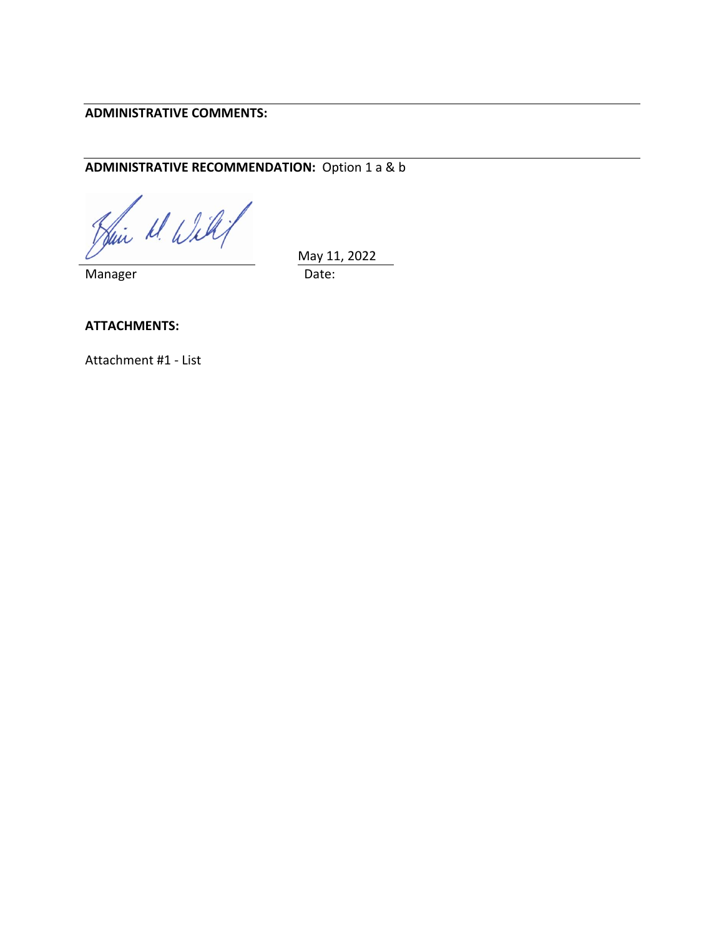# **ADMINISTRATIVE COMMENTS:**

# **ADMINISTRATIVE RECOMMENDATION:** Option 1 a & b

Jui M. Willy

 May 11, 2022 Manager **Date:** 

### **ATTACHMENTS:**

Attachment #1 ‐ List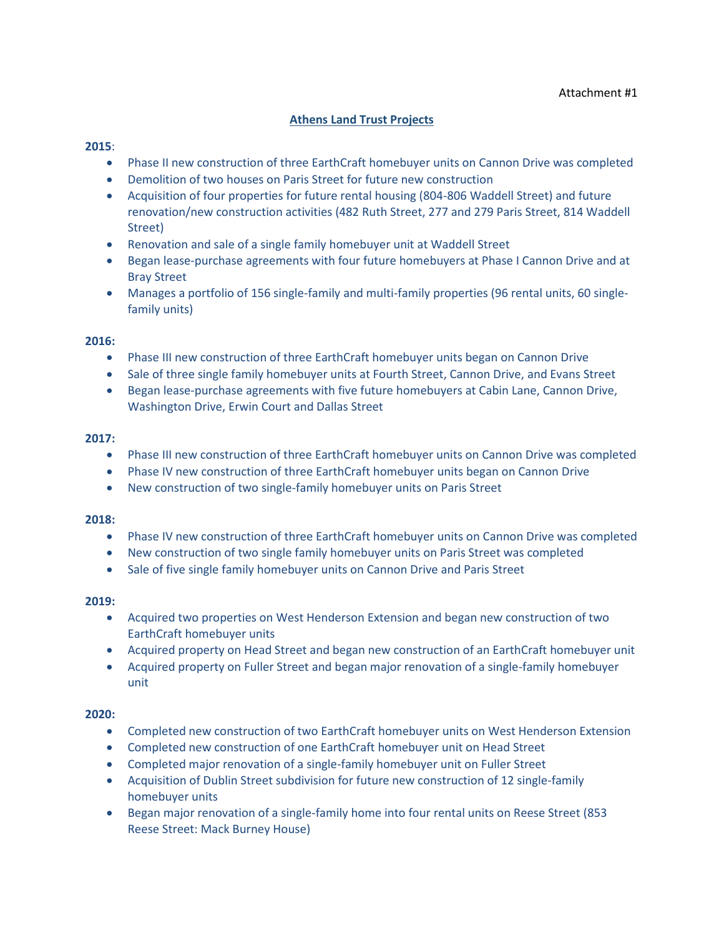### **Athens Land Trust Projects**

### **2015**:

- Phase II new construction of three EarthCraft homebuyer units on Cannon Drive was completed
- Demolition of two houses on Paris Street for future new construction
- Acquisition of four properties for future rental housing (804-806 Waddell Street) and future renovation/new construction activities (482 Ruth Street, 277 and 279 Paris Street, 814 Waddell Street)
- Renovation and sale of a single family homebuyer unit at Waddell Street
- Began lease-purchase agreements with four future homebuyers at Phase I Cannon Drive and at Bray Street
- Manages a portfolio of 156 single-family and multi-family properties (96 rental units, 60 singlefamily units)

### **2016:**

- Phase III new construction of three EarthCraft homebuyer units began on Cannon Drive
- Sale of three single family homebuyer units at Fourth Street, Cannon Drive, and Evans Street
- **Began lease-purchase agreements with five future homebuyers at Cabin Lane, Cannon Drive,** Washington Drive, Erwin Court and Dallas Street

### **2017:**

- Phase III new construction of three EarthCraft homebuyer units on Cannon Drive was completed
- Phase IV new construction of three EarthCraft homebuyer units began on Cannon Drive
- New construction of two single-family homebuyer units on Paris Street

### **2018:**

- Phase IV new construction of three EarthCraft homebuyer units on Cannon Drive was completed
- New construction of two single family homebuyer units on Paris Street was completed
- Sale of five single family homebuyer units on Cannon Drive and Paris Street

### **2019:**

- Acquired two properties on West Henderson Extension and began new construction of two EarthCraft homebuyer units
- Acquired property on Head Street and began new construction of an EarthCraft homebuyer unit
- Acquired property on Fuller Street and began major renovation of a single-family homebuyer unit

### **2020:**

- Completed new construction of two EarthCraft homebuyer units on West Henderson Extension
- Completed new construction of one EarthCraft homebuyer unit on Head Street
- Completed major renovation of a single-family homebuyer unit on Fuller Street
- Acquisition of Dublin Street subdivision for future new construction of 12 single-family homebuyer units
- Began major renovation of a single-family home into four rental units on Reese Street (853 Reese Street: Mack Burney House)